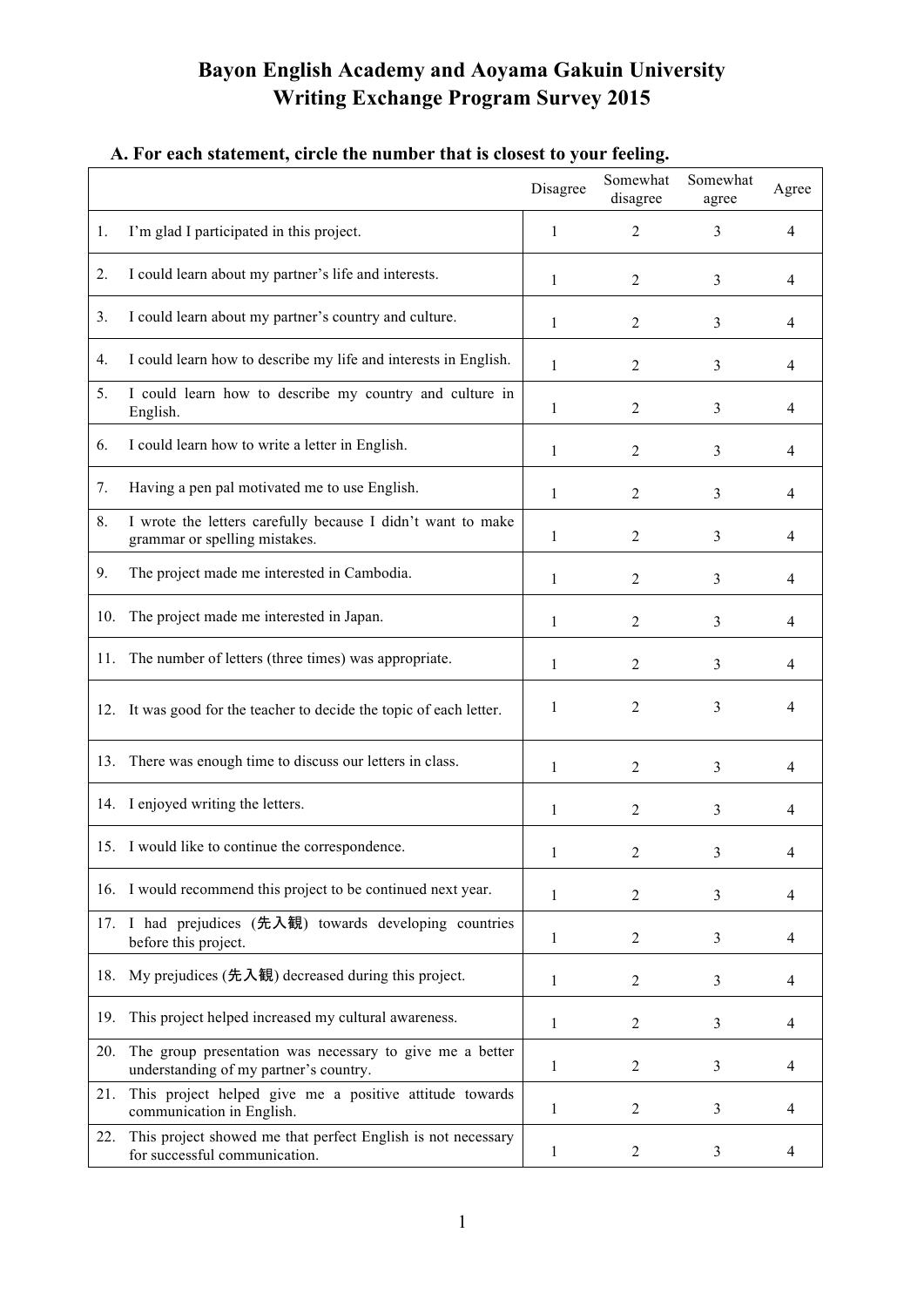## **Bayon English Academy and Aoyama Gakuin University Writing Exchange Program Survey 2015**

|     |                                                                                                    | Disagree     | Somewhat<br>disagree | Somewhat<br>agree | Agree          |
|-----|----------------------------------------------------------------------------------------------------|--------------|----------------------|-------------------|----------------|
| 1.  | I'm glad I participated in this project.                                                           | 1            | $\overline{2}$       | 3                 | 4              |
| 2.  | I could learn about my partner's life and interests.                                               | 1            | $\overline{2}$       | 3                 | 4              |
| 3.  | I could learn about my partner's country and culture.                                              | 1            | $\overline{2}$       | 3                 | $\overline{4}$ |
| 4.  | I could learn how to describe my life and interests in English.                                    | 1            | 2                    | 3                 | 4              |
| 5.  | I could learn how to describe my country and culture in<br>English.                                | 1            | $\overline{2}$       | 3                 | 4              |
| 6.  | I could learn how to write a letter in English.                                                    | 1            | $\overline{2}$       | 3                 | $\overline{4}$ |
| 7.  | Having a pen pal motivated me to use English.                                                      | 1            | 2                    | 3                 | 4              |
| 8.  | I wrote the letters carefully because I didn't want to make<br>grammar or spelling mistakes.       | $\mathbf{1}$ | $\overline{2}$       | 3                 | 4              |
| 9.  | The project made me interested in Cambodia.                                                        | 1            | 2                    | 3                 | 4              |
| 10. | The project made me interested in Japan.                                                           | 1            | 2                    | 3                 | 4              |
| 11. | The number of letters (three times) was appropriate.                                               | 1            | $\overline{2}$       | 3                 | 4              |
|     | 12. It was good for the teacher to decide the topic of each letter.                                | 1            | $\overline{2}$       | 3                 | 4              |
| 13. | There was enough time to discuss our letters in class.                                             | 1            | 2                    | 3                 | 4              |
|     | 14. I enjoyed writing the letters.                                                                 | 1            | 2                    | 3                 | 4              |
|     | 15. I would like to continue the correspondence.                                                   | 1            | 2                    | 3                 | 4              |
|     | 16. I would recommend this project to be continued next year.                                      | 1            | 2                    | 3                 | 4              |
|     | 17. I had prejudices (先入観) towards developing countries<br>before this project.                    | $\mathbf{1}$ | $\boldsymbol{2}$     | 3                 | 4              |
| 18. | My prejudices (先入観) decreased during this project.                                                 | $\mathbf{1}$ | $\overline{2}$       | 3                 | 4              |
| 19. | This project helped increased my cultural awareness.                                               | 1            | $\overline{2}$       | 3                 | 4              |
| 20. | The group presentation was necessary to give me a better<br>understanding of my partner's country. | 1            | $\overline{2}$       | 3                 | 4              |
| 21. | This project helped give me a positive attitude towards<br>communication in English.               | $\mathbf{1}$ | $\overline{2}$       | 3                 | 4              |
| 22. | This project showed me that perfect English is not necessary<br>for successful communication.      | 1            | $\overline{c}$       | 3                 | 4              |

## **A. For each statement, circle the number that is closest to your feeling.**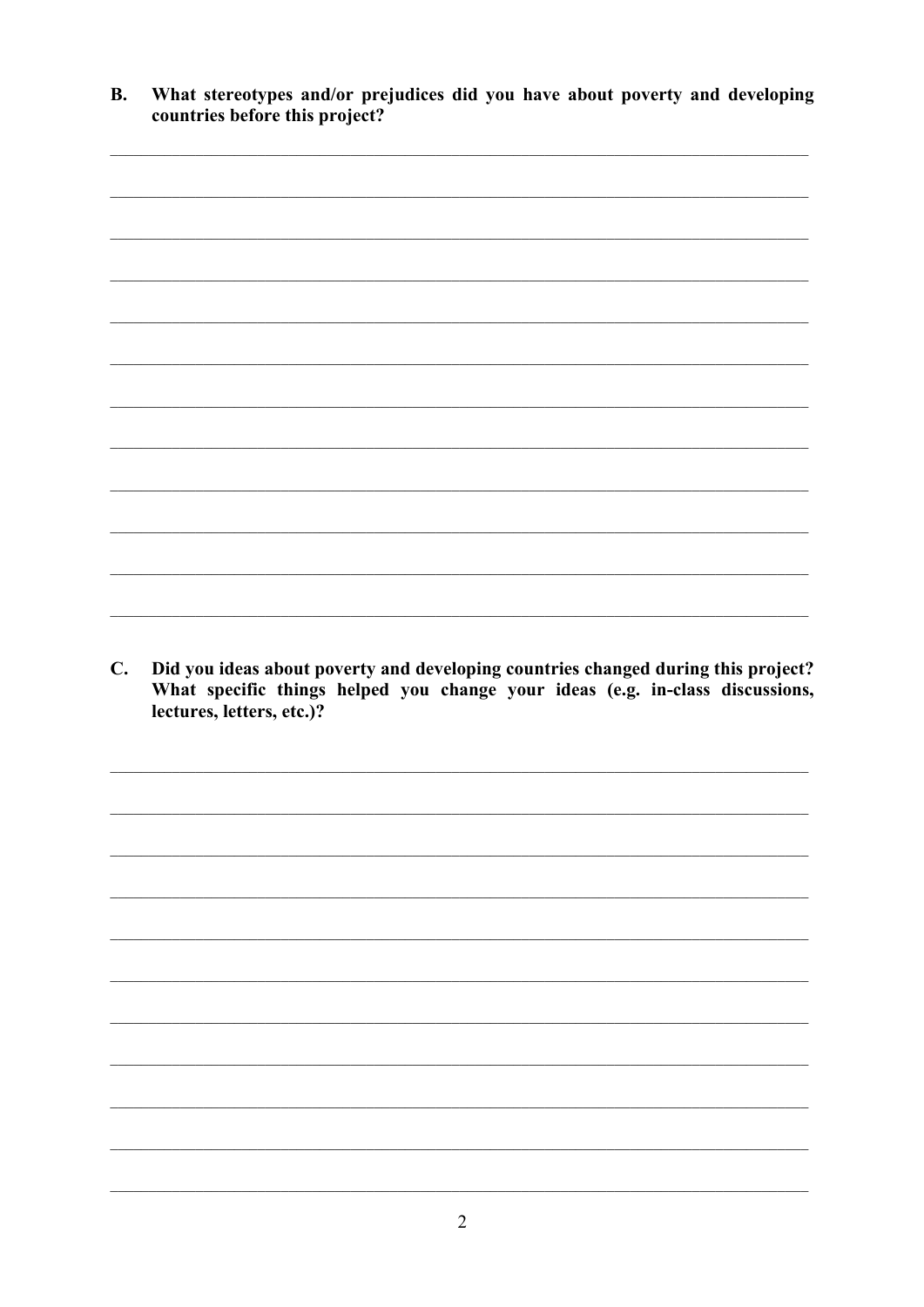$\mathbf{B}$ . What stereotypes and/or prejudices did you have about poverty and developing countries before this project?



C. Did you ideas about poverty and developing countries changed during this project? What specific things helped you change your ideas (e.g. in-class discussions, lectures, letters, etc.)?